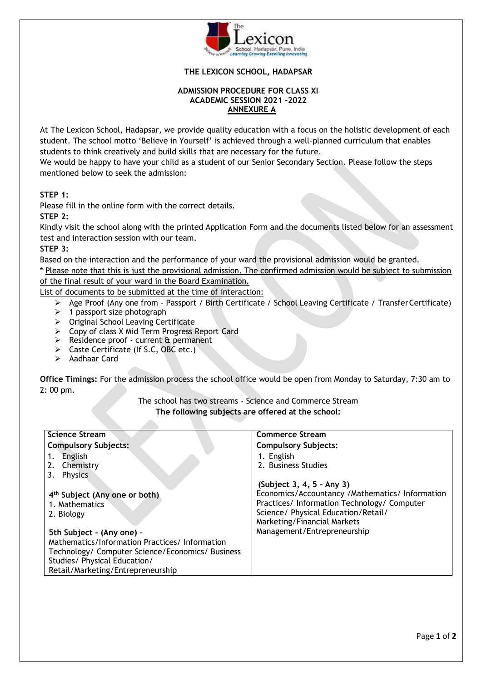

## **THE LEXICON SCHOOL, HADAPSAR**

#### **ADMISSION PROCEDURE FOR CLASS XI ACADEMIC SESSION 2021 -2022 ANNEXURE A**

At The Lexicon School, Hadapsar, we provide quality education with a focus on the holistic development of each student. The school motto 'Believe in Yourself' is achieved through a well-planned curriculum that enables students to think creatively and build skills that are necessary for the future.

We would be happy to have your child as a student of our Senior Secondary Section. Please follow the steps mentioned below to seek the admission:

# **STEP 1:**

Please fill in the online form with the correct details.

#### **STEP 2:**

Kindly visit the school along with the printed Application Form and the documents listed below for an assessment test and interaction session with our team.

### **STEP 3:**

Based on the interaction and the performance of your ward the provisional admission would be granted.

\* Please note that this is just the provisional admission. The confirmed admission would be subject to submission of the final result of your ward in the Board Examination.

List of documents to be submitted at the time of interaction:

- Age Proof (Any one from Passport / Birth Certificate / School Leaving Certificate / Transfer Certificate)
- $\geq 1$  passport size photograph
- $\triangleright$  Original School Leaving Certificate
- Copy of class X Mid Term Progress Report Card

- Residence proof current & permanent
- Caste Certificate (If S.C, OBC etc.)
- Aadhaar Card

**Office Timings:** For the admission process the school office would be open from Monday to Saturday, 7:30 am to 2: 00 pm.

> The school has two streams - Science and Commerce Stream **The following subjects are offered at the school:**

| <b>Science Stream</b>                            | <b>Commerce Stream</b>                          |
|--------------------------------------------------|-------------------------------------------------|
| <b>Compulsory Subjects:</b>                      | <b>Compulsory Subjects:</b>                     |
| English<br>1.                                    | 1. English                                      |
| 2. Chemistry                                     | 2. Business Studies                             |
| <b>Physics</b>                                   |                                                 |
|                                                  | (Subject 3, 4, 5 - Any 3)                       |
| 4 <sup>th</sup> Subject (Any one or both)        | Economics/Accountancy /Mathematics/ Information |
| 1. Mathematics                                   | Practices/ Information Technology/ Computer     |
| 2. Biology                                       | Science/ Physical Education/Retail/             |
|                                                  | Marketing/Financial Markets                     |
| 5th Subject - (Any one) -                        | Management/Entrepreneurship                     |
| Mathematics/Information Practices/Information    |                                                 |
| Technology/ Computer Science/Economics/ Business |                                                 |
| Studies/ Physical Education/                     |                                                 |
| Retail/Marketing/Entrepreneurship                |                                                 |